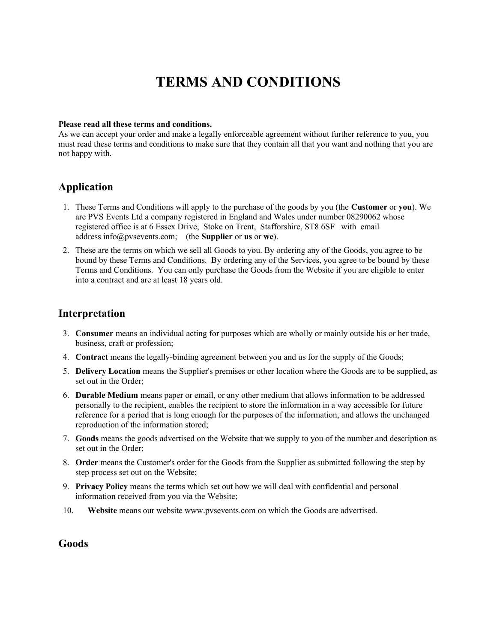# TERMS AND CONDITIONS

#### Please read all these terms and conditions.

As we can accept your order and make a legally enforceable agreement without further reference to you, you must read these terms and conditions to make sure that they contain all that you want and nothing that you are not happy with.

# Application

- 1. These Terms and Conditions will apply to the purchase of the goods by you (the Customer or you). We are PVS Events Ltd a company registered in England and Wales under number 08290062 whose registered office is at 6 Essex Drive, Stoke on Trent, Stafforshire, ST8 6SF with email address info@pvsevents.com; (the Supplier or us or we).
- 2. These are the terms on which we sell all Goods to you. By ordering any of the Goods, you agree to be bound by these Terms and Conditions. By ordering any of the Services, you agree to be bound by these Terms and Conditions. You can only purchase the Goods from the Website if you are eligible to enter into a contract and are at least 18 years old.

### Interpretation

- 3. Consumer means an individual acting for purposes which are wholly or mainly outside his or her trade, business, craft or profession;
- 4. Contract means the legally-binding agreement between you and us for the supply of the Goods;
- 5. Delivery Location means the Supplier's premises or other location where the Goods are to be supplied, as set out in the Order;
- 6. Durable Medium means paper or email, or any other medium that allows information to be addressed personally to the recipient, enables the recipient to store the information in a way accessible for future reference for a period that is long enough for the purposes of the information, and allows the unchanged reproduction of the information stored;
- 7. Goods means the goods advertised on the Website that we supply to you of the number and description as set out in the Order;
- 8. Order means the Customer's order for the Goods from the Supplier as submitted following the step by step process set out on the Website;
- 9. Privacy Policy means the terms which set out how we will deal with confidential and personal information received from you via the Website;
- 10. Website means our website www.pvsevents.com on which the Goods are advertised.

### Goods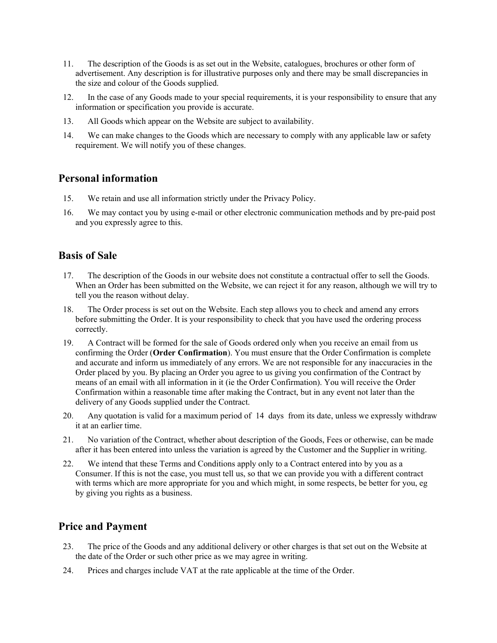- 11. The description of the Goods is as set out in the Website, catalogues, brochures or other form of advertisement. Any description is for illustrative purposes only and there may be small discrepancies in the size and colour of the Goods supplied.
- 12. In the case of any Goods made to your special requirements, it is your responsibility to ensure that any information or specification you provide is accurate.
- 13. All Goods which appear on the Website are subject to availability.
- 14. We can make changes to the Goods which are necessary to comply with any applicable law or safety requirement. We will notify you of these changes.

### Personal information

- 15. We retain and use all information strictly under the Privacy Policy.
- 16. We may contact you by using e-mail or other electronic communication methods and by pre-paid post and you expressly agree to this.

### Basis of Sale

- 17. The description of the Goods in our website does not constitute a contractual offer to sell the Goods. When an Order has been submitted on the Website, we can reject it for any reason, although we will try to tell you the reason without delay.
- 18. The Order process is set out on the Website. Each step allows you to check and amend any errors before submitting the Order. It is your responsibility to check that you have used the ordering process correctly.
- 19. A Contract will be formed for the sale of Goods ordered only when you receive an email from us confirming the Order (Order Confirmation). You must ensure that the Order Confirmation is complete and accurate and inform us immediately of any errors. We are not responsible for any inaccuracies in the Order placed by you. By placing an Order you agree to us giving you confirmation of the Contract by means of an email with all information in it (ie the Order Confirmation). You will receive the Order Confirmation within a reasonable time after making the Contract, but in any event not later than the delivery of any Goods supplied under the Contract.
- 20. Any quotation is valid for a maximum period of 14 days from its date, unless we expressly withdraw it at an earlier time.
- 21. No variation of the Contract, whether about description of the Goods, Fees or otherwise, can be made after it has been entered into unless the variation is agreed by the Customer and the Supplier in writing.
- 22. We intend that these Terms and Conditions apply only to a Contract entered into by you as a Consumer. If this is not the case, you must tell us, so that we can provide you with a different contract with terms which are more appropriate for you and which might, in some respects, be better for you, eg by giving you rights as a business.

### Price and Payment

- 23. The price of the Goods and any additional delivery or other charges is that set out on the Website at the date of the Order or such other price as we may agree in writing.
- 24. Prices and charges include VAT at the rate applicable at the time of the Order.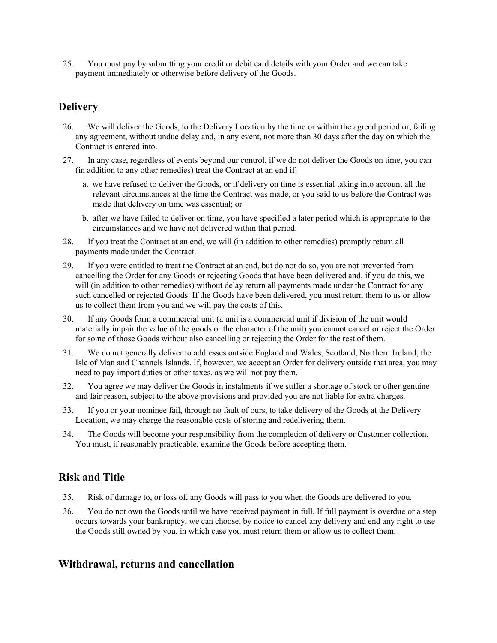25. You must pay by submitting your credit or debit card details with your Order and we can take payment immediately or otherwise before delivery of the Goods.

# **Delivery**

- 26. We will deliver the Goods, to the Delivery Location by the time or within the agreed period or, failing any agreement, without undue delay and, in any event, not more than 30 days after the day on which the Contract is entered into.
- 27. In any case, regardless of events beyond our control, if we do not deliver the Goods on time, you can (in addition to any other remedies) treat the Contract at an end if:
	- a. we have refused to deliver the Goods, or if delivery on time is essential taking into account all the relevant circumstances at the time the Contract was made, or you said to us before the Contract was made that delivery on time was essential; or
	- b. after we have failed to deliver on time, you have specified a later period which is appropriate to the circumstances and we have not delivered within that period.
- 28. If you treat the Contract at an end, we will (in addition to other remedies) promptly return all payments made under the Contract.
- 29. If you were entitled to treat the Contract at an end, but do not do so, you are not prevented from cancelling the Order for any Goods or rejecting Goods that have been delivered and, if you do this, we will (in addition to other remedies) without delay return all payments made under the Contract for any such cancelled or rejected Goods. If the Goods have been delivered, you must return them to us or allow us to collect them from you and we will pay the costs of this.
- 30. If any Goods form a commercial unit (a unit is a commercial unit if division of the unit would materially impair the value of the goods or the character of the unit) you cannot cancel or reject the Order for some of those Goods without also cancelling or rejecting the Order for the rest of them.
- 31. We do not generally deliver to addresses outside England and Wales, Scotland, Northern Ireland, the Isle of Man and Channels Islands. If, however, we accept an Order for delivery outside that area, you may need to pay import duties or other taxes, as we will not pay them.
- 32. You agree we may deliver the Goods in instalments if we suffer a shortage of stock or other genuine and fair reason, subject to the above provisions and provided you are not liable for extra charges.
- 33. If you or your nominee fail, through no fault of ours, to take delivery of the Goods at the Delivery Location, we may charge the reasonable costs of storing and redelivering them.
- 34. The Goods will become your responsibility from the completion of delivery or Customer collection. You must, if reasonably practicable, examine the Goods before accepting them.

### Risk and Title

- 35. Risk of damage to, or loss of, any Goods will pass to you when the Goods are delivered to you.
- 36. You do not own the Goods until we have received payment in full. If full payment is overdue or a step occurs towards your bankruptcy, we can choose, by notice to cancel any delivery and end any right to use the Goods still owned by you, in which case you must return them or allow us to collect them.

### Withdrawal, returns and cancellation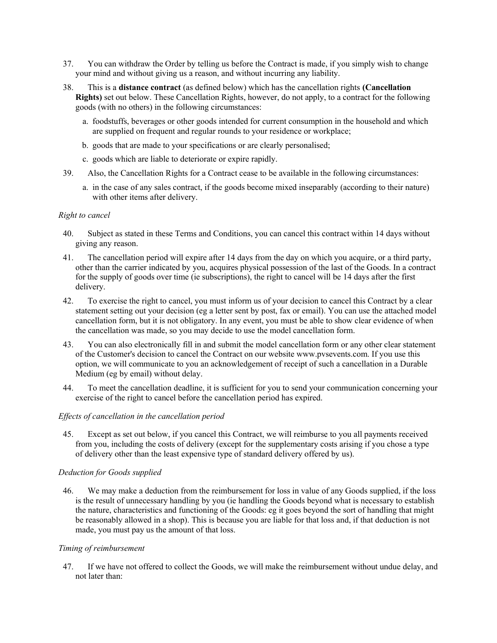- 37. You can withdraw the Order by telling us before the Contract is made, if you simply wish to change your mind and without giving us a reason, and without incurring any liability.
- 38. This is a distance contract (as defined below) which has the cancellation rights (Cancellation Rights) set out below. These Cancellation Rights, however, do not apply, to a contract for the following goods (with no others) in the following circumstances:
	- a. foodstuffs, beverages or other goods intended for current consumption in the household and which are supplied on frequent and regular rounds to your residence or workplace;
	- b. goods that are made to your specifications or are clearly personalised;
	- c. goods which are liable to deteriorate or expire rapidly.
- 39. Also, the Cancellation Rights for a Contract cease to be available in the following circumstances:
	- a. in the case of any sales contract, if the goods become mixed inseparably (according to their nature) with other items after delivery.

#### Right to cancel

- 40. Subject as stated in these Terms and Conditions, you can cancel this contract within 14 days without giving any reason.
- 41. The cancellation period will expire after 14 days from the day on which you acquire, or a third party, other than the carrier indicated by you, acquires physical possession of the last of the Goods. In a contract for the supply of goods over time (ie subscriptions), the right to cancel will be 14 days after the first delivery.
- 42. To exercise the right to cancel, you must inform us of your decision to cancel this Contract by a clear statement setting out your decision (eg a letter sent by post, fax or email). You can use the attached model cancellation form, but it is not obligatory. In any event, you must be able to show clear evidence of when the cancellation was made, so you may decide to use the model cancellation form.
- 43. You can also electronically fill in and submit the model cancellation form or any other clear statement of the Customer's decision to cancel the Contract on our website www.pvsevents.com. If you use this option, we will communicate to you an acknowledgement of receipt of such a cancellation in a Durable Medium (eg by email) without delay.
- 44. To meet the cancellation deadline, it is sufficient for you to send your communication concerning your exercise of the right to cancel before the cancellation period has expired.

### Effects of cancellation in the cancellation period

45. Except as set out below, if you cancel this Contract, we will reimburse to you all payments received from you, including the costs of delivery (except for the supplementary costs arising if you chose a type of delivery other than the least expensive type of standard delivery offered by us).

#### Deduction for Goods supplied

46. We may make a deduction from the reimbursement for loss in value of any Goods supplied, if the loss is the result of unnecessary handling by you (ie handling the Goods beyond what is necessary to establish the nature, characteristics and functioning of the Goods: eg it goes beyond the sort of handling that might be reasonably allowed in a shop). This is because you are liable for that loss and, if that deduction is not made, you must pay us the amount of that loss.

#### Timing of reimbursement

47. If we have not offered to collect the Goods, we will make the reimbursement without undue delay, and not later than: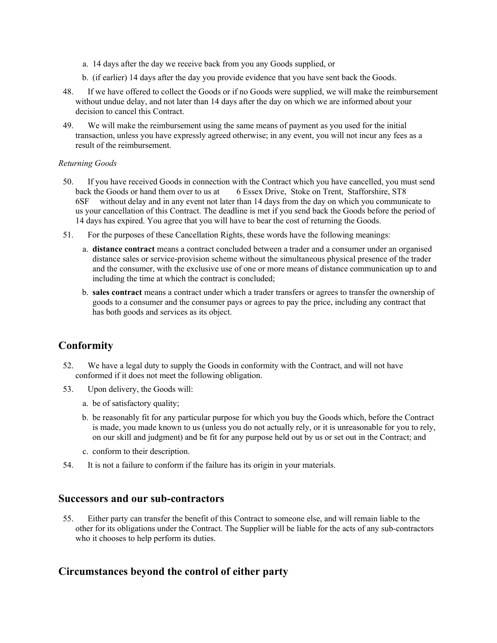- a. 14 days after the day we receive back from you any Goods supplied, or
- b. (if earlier) 14 days after the day you provide evidence that you have sent back the Goods.
- 48. If we have offered to collect the Goods or if no Goods were supplied, we will make the reimbursement without undue delay, and not later than 14 days after the day on which we are informed about your decision to cancel this Contract.
- 49. We will make the reimbursement using the same means of payment as you used for the initial transaction, unless you have expressly agreed otherwise; in any event, you will not incur any fees as a result of the reimbursement.

### Returning Goods

- 50. If you have received Goods in connection with the Contract which you have cancelled, you must send back the Goods or hand them over to us at 6 Essex Drive, Stoke on Trent, Stafforshire, ST8 6SF without delay and in any event not later than 14 days from the day on which you communicate to us your cancellation of this Contract. The deadline is met if you send back the Goods before the period of 14 days has expired. You agree that you will have to bear the cost of returning the Goods.
- 51. For the purposes of these Cancellation Rights, these words have the following meanings:
	- a. distance contract means a contract concluded between a trader and a consumer under an organised distance sales or service-provision scheme without the simultaneous physical presence of the trader and the consumer, with the exclusive use of one or more means of distance communication up to and including the time at which the contract is concluded;
	- b. sales contract means a contract under which a trader transfers or agrees to transfer the ownership of goods to a consumer and the consumer pays or agrees to pay the price, including any contract that has both goods and services as its object.

# Conformity

- 52. We have a legal duty to supply the Goods in conformity with the Contract, and will not have conformed if it does not meet the following obligation.
- 53. Upon delivery, the Goods will:
	- a. be of satisfactory quality;
	- b. be reasonably fit for any particular purpose for which you buy the Goods which, before the Contract is made, you made known to us (unless you do not actually rely, or it is unreasonable for you to rely, on our skill and judgment) and be fit for any purpose held out by us or set out in the Contract; and
	- c. conform to their description.
- 54. It is not a failure to conform if the failure has its origin in your materials.

### Successors and our sub-contractors

55. Either party can transfer the benefit of this Contract to someone else, and will remain liable to the other for its obligations under the Contract. The Supplier will be liable for the acts of any sub-contractors who it chooses to help perform its duties.

# Circumstances beyond the control of either party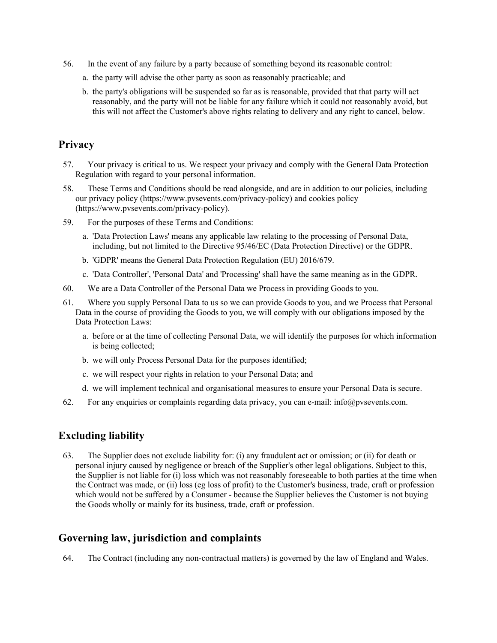- 56. In the event of any failure by a party because of something beyond its reasonable control:
	- a. the party will advise the other party as soon as reasonably practicable; and
	- b. the party's obligations will be suspended so far as is reasonable, provided that that party will act reasonably, and the party will not be liable for any failure which it could not reasonably avoid, but this will not affect the Customer's above rights relating to delivery and any right to cancel, below.

### Privacy

- 57. Your privacy is critical to us. We respect your privacy and comply with the General Data Protection Regulation with regard to your personal information.
- 58. These Terms and Conditions should be read alongside, and are in addition to our policies, including our privacy policy (https://www.pvsevents.com/privacy-policy) and cookies policy (https://www.pvsevents.com/privacy-policy).
- 59. For the purposes of these Terms and Conditions:
	- a. 'Data Protection Laws' means any applicable law relating to the processing of Personal Data, including, but not limited to the Directive 95/46/EC (Data Protection Directive) or the GDPR.
	- b. 'GDPR' means the General Data Protection Regulation (EU) 2016/679.
	- c. 'Data Controller', 'Personal Data' and 'Processing' shall have the same meaning as in the GDPR.
- 60. We are a Data Controller of the Personal Data we Process in providing Goods to you.
- 61. Where you supply Personal Data to us so we can provide Goods to you, and we Process that Personal Data in the course of providing the Goods to you, we will comply with our obligations imposed by the Data Protection Laws:
	- a. before or at the time of collecting Personal Data, we will identify the purposes for which information is being collected;
	- b. we will only Process Personal Data for the purposes identified;
	- c. we will respect your rights in relation to your Personal Data; and
	- d. we will implement technical and organisational measures to ensure your Personal Data is secure.
- 62. For any enquiries or complaints regarding data privacy, you can e-mail: info@pvsevents.com.

### Excluding liability

63. The Supplier does not exclude liability for: (i) any fraudulent act or omission; or (ii) for death or personal injury caused by negligence or breach of the Supplier's other legal obligations. Subject to this, the Supplier is not liable for (i) loss which was not reasonably foreseeable to both parties at the time when the Contract was made, or (ii) loss (eg loss of profit) to the Customer's business, trade, craft or profession which would not be suffered by a Consumer - because the Supplier believes the Customer is not buying the Goods wholly or mainly for its business, trade, craft or profession.

### Governing law, jurisdiction and complaints

64. The Contract (including any non-contractual matters) is governed by the law of England and Wales.